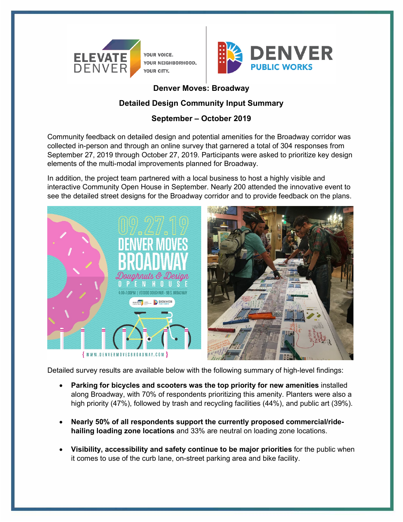

YOUR VOICE. YOUR NEIGHBORHOOD. YOUR CITY.



# **Denver Moves: Broadway**

# **Detailed Design Community Input Summary**

# **September – October 2019**

Community feedback on detailed design and potential amenities for the Broadway corridor was collected in-person and through an online survey that garnered a total of 304 responses from September 27, 2019 through October 27, 2019. Participants were asked to prioritize key design elements of the multi-modal improvements planned for Broadway.

In addition, the project team partnered with a local business to host a highly visible and interactive Community Open House in September. Nearly 200 attended the innovative event to see the detailed street designs for the Broadway corridor and to provide feedback on the plans.



Detailed survey results are available below with the following summary of high-level findings:

- **Parking for bicycles and scooters was the top priority for new amenities** installed along Broadway, with 70% of respondents prioritizing this amenity. Planters were also a high priority (47%), followed by trash and recycling facilities (44%), and public art (39%).
- **Nearly 50% of all respondents support the currently proposed commercial/ridehailing loading zone locations** and 33% are neutral on loading zone locations.
- **Visibility, accessibility and safety continue to be major priorities** for the public when it comes to use of the curb lane, on-street parking area and bike facility.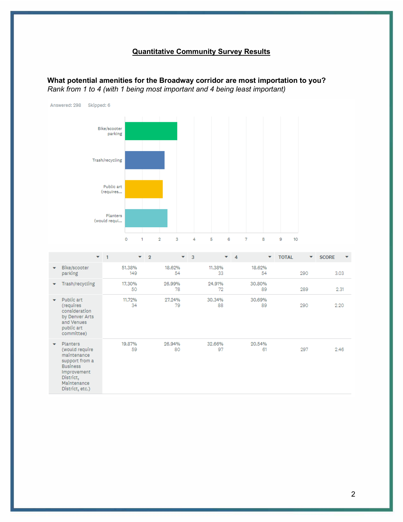# **Quantitative Community Survey Results**

**What potential amenities for the Broadway corridor are most importation to you?**  *Rank from 1 to 4 (with 1 being most important and 4 being least important)* 



maintenance support from a **Business** Improvement District, Maintenance District, etc.)

2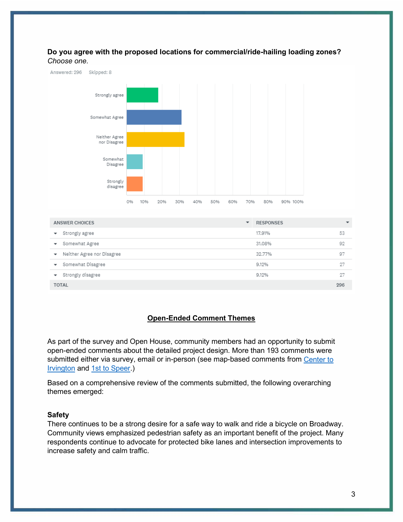## **Do you agree with the proposed locations for commercial/ride-hailing loading zones?**  *Choose one.*



|              | Somewhat Agree               | 31.08% | 92 |
|--------------|------------------------------|--------|----|
|              | ▼ Neither Agree nor Disagree | 32.77% | 97 |
|              | Somewhat Disagree            | 9.12%  | 97 |
|              | ▼ Strongly disagree          | 9.12%  | 97 |
| <b>TOTAL</b> |                              | 296    |    |

## **Open-Ended Comment Themes**

As part of the survey and Open House, community members had an opportunity to submit open-ended comments about the detailed project design. More than 193 comments were submitted either via survey, email or in-person (see map-based comments from [Center to](https://www.denvergov.org/content/dam/denvergov/Portals/Transportation-Mobility/images/broadway/DMBway-RollPlot-Sept2019-comments1.jpg)  [Irvington](https://www.denvergov.org/content/dam/denvergov/Portals/Transportation-Mobility/images/broadway/DMBway-RollPlot-Sept2019-comments1.jpg) and [1st to Speer.](https://www.denvergov.org/content/dam/denvergov/Portals/Transportation-Mobility/images/broadway/DMBway-RollPlot-Sept2019-comments2.jpg))

Based on a comprehensive review of the comments submitted, the following overarching themes emerged:

## **Safety**

There continues to be a strong desire for a safe way to walk and ride a bicycle on Broadway. Community views emphasized pedestrian safety as an important benefit of the project. Many respondents continue to advocate for protected bike lanes and intersection improvements to increase safety and calm traffic.

 $53$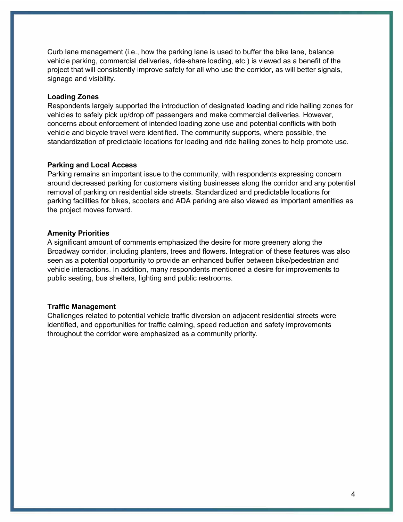Curb lane management (i.e., how the parking lane is used to buffer the bike lane, balance vehicle parking, commercial deliveries, ride-share loading, etc.) is viewed as a benefit of the project that will consistently improve safety for all who use the corridor, as will better signals, signage and visibility.

#### **Loading Zones**

Respondents largely supported the introduction of designated loading and ride hailing zones for vehicles to safely pick up/drop off passengers and make commercial deliveries. However, concerns about enforcement of intended loading zone use and potential conflicts with both vehicle and bicycle travel were identified. The community supports, where possible, the standardization of predictable locations for loading and ride hailing zones to help promote use.

## **Parking and Local Access**

Parking remains an important issue to the community, with respondents expressing concern around decreased parking for customers visiting businesses along the corridor and any potential removal of parking on residential side streets. Standardized and predictable locations for parking facilities for bikes, scooters and ADA parking are also viewed as important amenities as the project moves forward.

#### **Amenity Priorities**

A significant amount of comments emphasized the desire for more greenery along the Broadway corridor, including planters, trees and flowers. Integration of these features was also seen as a potential opportunity to provide an enhanced buffer between bike/pedestrian and vehicle interactions. In addition, many respondents mentioned a desire for improvements to public seating, bus shelters, lighting and public restrooms.

#### **Traffic Management**

Challenges related to potential vehicle traffic diversion on adjacent residential streets were identified, and opportunities for traffic calming, speed reduction and safety improvements throughout the corridor were emphasized as a community priority.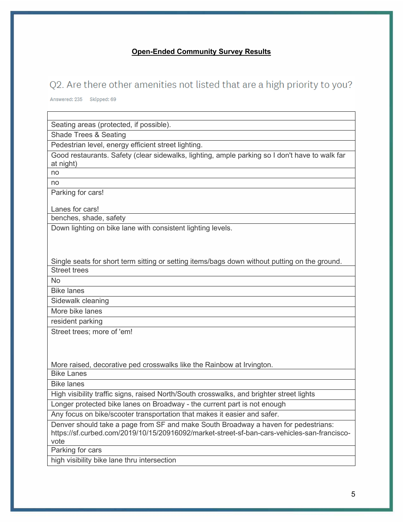## **Open-Ended Community Survey Results**

# Q2. Are there other amenities not listed that are a high priority to you?

Answered: 235 Skipped: 69

Seating areas (protected, if possible).

Shade Trees & Seating

Pedestrian level, energy efficient street lighting.

Good restaurants. Safety (clear sidewalks, lighting, ample parking so I don't have to walk far at night)

no no

Parking for cars!

Lanes for cars!

benches, shade, safety

Down lighting on bike lane with consistent lighting levels.

Single seats for short term sitting or setting items/bags down without putting on the ground. Street trees

No

Bike lanes

Sidewalk cleaning

More bike lanes

resident parking

Street trees; more of 'em!

More raised, decorative ped crosswalks like the Rainbow at Irvington.

Bike Lanes

Bike lanes

High visibility traffic signs, raised North/South crosswalks, and brighter street lights

Longer protected bike lanes on Broadway - the current part is not enough

Any focus on bike/scooter transportation that makes it easier and safer.

Denver should take a page from SF and make South Broadway a haven for pedestrians: https://sf.curbed.com/2019/10/15/20916092/market-street-sf-ban-cars-vehicles-san-franciscovote

Parking for cars

high visibility bike lane thru intersection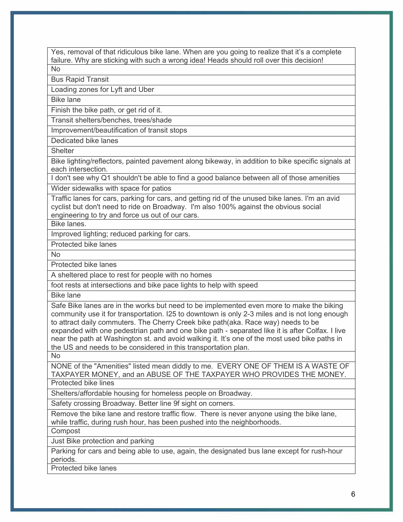Yes, removal of that ridiculous bike lane. When are you going to realize that it's a complete failure. Why are sticking with such a wrong idea! Heads should roll over this decision! No

Bus Rapid Transit

Loading zones for Lyft and Uber

Bike lane

Finish the bike path, or get rid of it.

Transit shelters/benches, trees/shade

Improvement/beautification of transit stops

Dedicated bike lanes

**Shelter** 

Bike lighting/reflectors, painted pavement along bikeway, in addition to bike specific signals at each intersection.

I don't see why Q1 shouldn't be able to find a good balance between all of those amenities

Wider sidewalks with space for patios

Traffic lanes for cars, parking for cars, and getting rid of the unused bike lanes. I'm an avid cyclist but don't need to ride on Broadway. I'm also 100% against the obvious social engineering to try and force us out of our cars.

Bike lanes.

Improved lighting; reduced parking for cars.

Protected bike lanes

No

Protected bike lanes

A sheltered place to rest for people with no homes

foot rests at intersections and bike pace lights to help with speed

Bike lane

Safe Bike lanes are in the works but need to be implemented even more to make the biking community use it for transportation. I25 to downtown is only 2-3 miles and is not long enough to attract daily commuters. The Cherry Creek bike path(aka. Race way) needs to be expanded with one pedestrian path and one bike path - separated like it is after Colfax. I live near the path at Washington st. and avoid walking it. It's one of the most used bike paths in the US and needs to be considered in this transportation plan.

No

NONE of the "Amenities" listed mean diddly to me. EVERY ONE OF THEM IS A WASTE OF TAXPAYER MONEY, and an ABUSE OF THE TAXPAYER WHO PROVIDES THE MONEY. Protected bike lines

Shelters/affordable housing for homeless people on Broadway.

Safety crossing Broadway. Better line 9f sight on corners.

Remove the bike lane and restore traffic flow. There is never anyone using the bike lane, while traffic, during rush hour, has been pushed into the neighborhoods.

**Compost** 

Just Bike protection and parking

Parking for cars and being able to use, again, the designated bus lane except for rush-hour periods.

Protected bike lanes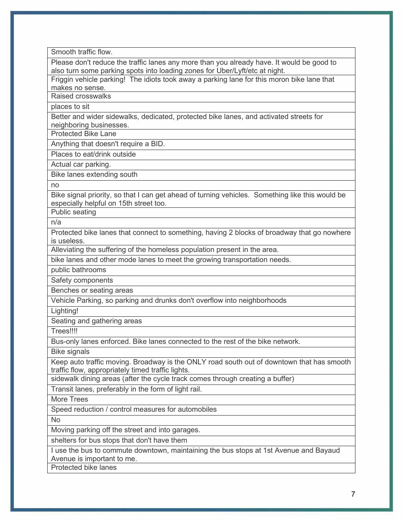Smooth traffic flow.

Please don't reduce the traffic lanes any more than you already have. It would be good to also turn some parking spots into loading zones for Uber/Lyft/etc at night.

Friggin vehicle parking! The idiots took away a parking lane for this moron bike lane that makes no sense.

Raised crosswalks

places to sit

Better and wider sidewalks, dedicated, protected bike lanes, and activated streets for neighboring businesses.

Protected Bike Lane

Anything that doesn't require a BID.

Places to eat/drink outside

Actual car parking.

Bike lanes extending south

no

Bike signal priority, so that I can get ahead of turning vehicles. Something like this would be especially helpful on 15th street too.

Public seating

n/a

Protected bike lanes that connect to something, having 2 blocks of broadway that go nowhere is useless.

Alleviating the suffering of the homeless population present in the area.

bike lanes and other mode lanes to meet the growing transportation needs.

public bathrooms

Safety components

Benches or seating areas

Vehicle Parking, so parking and drunks don't overflow into neighborhoods

Lighting!

Seating and gathering areas

Trees!!!!

Bus-only lanes enforced. Bike lanes connected to the rest of the bike network.

Bike signals

Keep auto traffic moving. Broadway is the ONLY road south out of downtown that has smooth traffic flow, appropriately timed traffic lights.

sidewalk dining areas (after the cycle track comes through creating a buffer)

Transit lanes, preferably in the form of light rail.

More Trees

Speed reduction / control measures for automobiles

No

Moving parking off the street and into garages.

shelters for bus stops that don't have them

I use the bus to commute downtown, maintaining the bus stops at 1st Avenue and Bayaud Avenue is important to me.

Protected bike lanes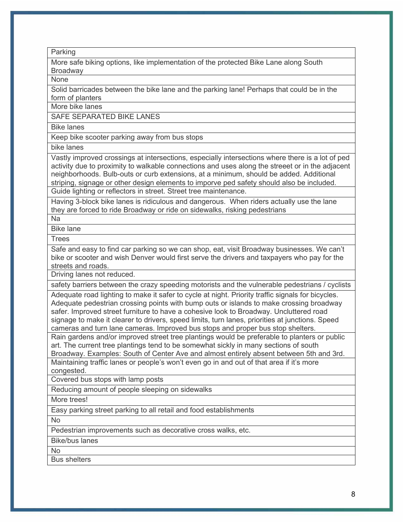Parking

More safe biking options, like implementation of the protected Bike Lane along South **Broadway** 

None

Solid barricades between the bike lane and the parking lane! Perhaps that could be in the form of planters

More bike lanes

SAFE SEPARATED BIKE LANES

Bike lanes

Keep bike scooter parking away from bus stops

bike lanes

Vastly improved crossings at intersections, especially intersections where there is a lot of ped activity due to proximity to walkable connections and uses along the streeet or in the adjacent neighborhoods. Bulb-outs or curb extensions, at a minimum, should be added. Additional striping, signage or other design elements to imporve ped safety should also be included. Guide lighting or reflectors in street. Street tree maintenance.

Having 3-block bike lanes is ridiculous and dangerous. When riders actually use the lane they are forced to ride Broadway or ride on sidewalks, risking pedestrians

Na

Bike lane

**Trees** 

Safe and easy to find car parking so we can shop, eat, visit Broadway businesses. We can't bike or scooter and wish Denver would first serve the drivers and taxpayers who pay for the streets and roads.

Driving lanes not reduced.

safety barriers between the crazy speeding motorists and the vulnerable pedestrians / cyclists

Adequate road lighting to make it safer to cycle at night. Priority traffic signals for bicycles. Adequate pedestrian crossing points with bump outs or islands to make crossing broadway safer. Improved street furniture to have a cohesive look to Broadway. Uncluttered road signage to make it clearer to drivers, speed limits, turn lanes, priorities at junctions. Speed cameras and turn lane cameras. Improved bus stops and proper bus stop shelters.

Rain gardens and/or improved street tree plantings would be preferable to planters or public art. The current tree plantings tend to be somewhat sickly in many sections of south Broadway. Examples: South of Center Ave and almost entirely absent between 5th and 3rd.

Maintaining traffic lanes or people's won't even go in and out of that area if it's more congested.

Covered bus stops with lamp posts

Reducing amount of people sleeping on sidewalks

More trees!

Easy parking street parking to all retail and food establishments

No

Pedestrian improvements such as decorative cross walks, etc.

Bike/bus lanes

No

Bus shelters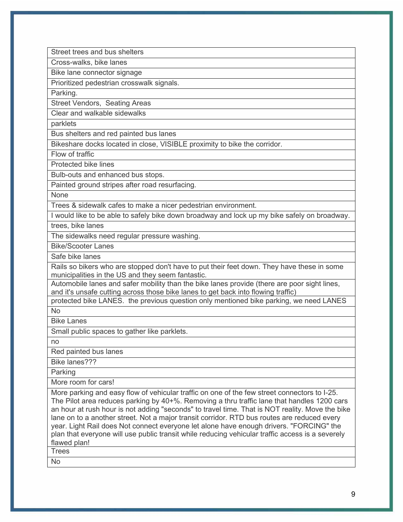Street trees and bus shelters

Cross-walks, bike lanes

Bike lane connector signage

Prioritized pedestrian crosswalk signals.

Parking.

Street Vendors, Seating Areas

Clear and walkable sidewalks

parklets

Bus shelters and red painted bus lanes

Bikeshare docks located in close, VISIBLE proximity to bike the corridor.

Flow of traffic

Protected bike lines

Bulb-outs and enhanced bus stops.

Painted ground stripes after road resurfacing.

None

Trees & sidewalk cafes to make a nicer pedestrian environment.

I would like to be able to safely bike down broadway and lock up my bike safely on broadway.

trees, bike lanes

The sidewalks need regular pressure washing.

Bike/Scooter Lanes

Safe bike lanes

Rails so bikers who are stopped don't have to put their feet down. They have these in some municipalities in the US and they seem fantastic.

Automobile lanes and safer mobility than the bike lanes provide (there are poor sight lines, and it's unsafe cutting across those bike lanes to get back into flowing traffic)

protected bike LANES. the previous question only mentioned bike parking, we need LANES No

Bike Lanes

Small public spaces to gather like parklets.

no

Red painted bus lanes

Bike lanes???

Parking

More room for cars!

More parking and easy flow of vehicular traffic on one of the few street connectors to I-25. The Pilot area reduces parking by 40+%. Removing a thru traffic lane that handles 1200 cars an hour at rush hour is not adding "seconds" to travel time. That is NOT reality. Move the bike lane on to a another street. Not a major transit corridor. RTD bus routes are reduced every year. Light Rail does Not connect everyone let alone have enough drivers. "FORCING" the plan that everyone will use public transit while reducing vehicular traffic access is a severely flawed plan!

**Trees** 

No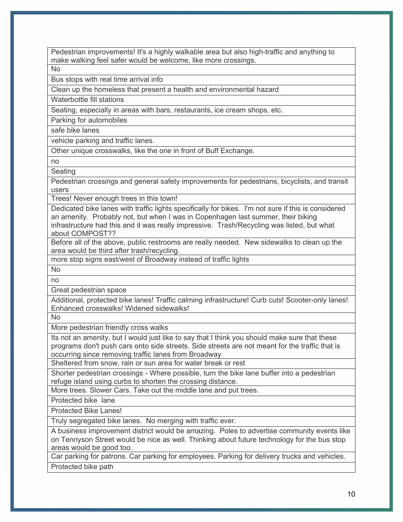Pedestrian improvements! It's a highly walkable area but also high-traffic and anything to make walking feel safer would be welcome, like more crossings.

No

Bus stops with real time arrival info

Clean up the homeless that present a health and environmental hazard

Waterbottle fill stations

Seating, especially in areas with bars, restaurants, ice cream shops, etc.

Parking for automobiles

safe bike lanes

vehicle parking and traffic lanes.

Other unique crosswalks, like the one in front of Buff Exchange.

no

Seating

Pedestrian crossings and general safety improvements for pedestrians, bicyclists, and transit users

Trees! Never enough trees in this town!

Dedicated bike lanes with traffic lights specifically for bikes. I'm not sure if this is considered an amenity. Probably not, but when I was in Copenhagen last summer, their biking infrastructure had this and it was really impressive. Trash/Recycling was listed, but what about COMPOST??

Before all of the above, public restrooms are really needed. New sidewalks to clean up the area would be third after trash/recycling.

more stop signs east/west of Broadway instead of traffic lights

No no

Great pedestrian space

Additional, protected bike lanes! Traffic calming infrastructure! Curb cuts! Scooter-only lanes! Enhanced crosswalks! Widened sidewalks!

No

More pedestrian friendly cross walks

Its not an amenity, but I would just like to say that I think you should make sure that these programs don't push cars onto side streets. Side streets are not meant for the traffic that is occurring since removing traffic lanes from Broadway

Sheltered from snow, rain or sun area for water break or rest

Shorter pedestrian crossings - Where possible, turn the bike lane buffer into a pedestrian refuge island using curbs to shorten the crossing distance.

More trees. Slower Cars. Take out the middle lane and put trees.

Protected bike lane

Protected Bike Lanes!

Truly segregated bike lanes. No merging with traffic ever.

A business improvement district would be amazing. Poles to advertise community events like on Tennyson Street would be nice as well. Thinking about future technology for the bus stop areas would be good too.

Car parking for patrons. Car parking for employees. Parking for delivery trucks and vehicles. Protected bike path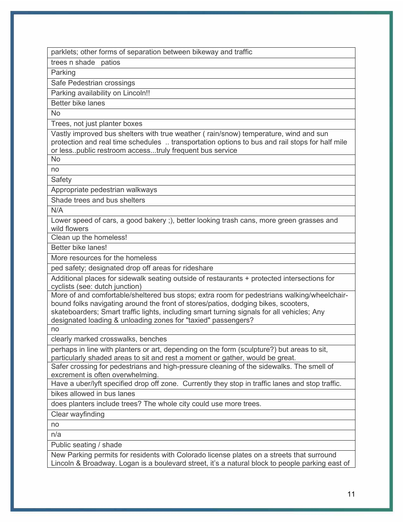parklets; other forms of separation between bikeway and traffic

trees n shade patios

Parking

Safe Pedestrian crossings

Parking availability on Lincoln!!

Better bike lanes

No

Trees, not just planter boxes

Vastly improved bus shelters with true weather ( rain/snow) temperature, wind and sun protection and real time schedules .. transportation options to bus and rail stops for half mile or less..public restroom access...truly frequent bus service

No

no

**Safety** 

Appropriate pedestrian walkways

Shade trees and bus shelters

N/A

Lower speed of cars, a good bakery ;), better looking trash cans, more green grasses and wild flowers

Clean up the homeless!

Better bike lanes!

More resources for the homeless

ped safety; designated drop off areas for rideshare

Additional places for sidewalk seating outside of restaurants + protected intersections for cyclists (see: dutch junction)

More of and comfortable/sheltered bus stops; extra room for pedestrians walking/wheelchairbound folks navigating around the front of stores/patios, dodging bikes, scooters,

skateboarders; Smart traffic lights, including smart turning signals for all vehicles; Any designated loading & unloading zones for "taxied" passengers?

no

clearly marked crosswalks, benches

perhaps in line with planters or art, depending on the form (sculpture?) but areas to sit, particularly shaded areas to sit and rest a moment or gather, would be great.

Safer crossing for pedestrians and high-pressure cleaning of the sidewalks. The smell of excrement is often overwhelming.

Have a uber/lyft specified drop off zone. Currently they stop in traffic lanes and stop traffic. bikes allowed in bus lanes

does planters include trees? The whole city could use more trees.

Clear wayfinding

no

n/a

Public seating / shade

New Parking permits for residents with Colorado license plates on a streets that surround Lincoln & Broadway. Logan is a boulevard street, it's a natural block to people parking east of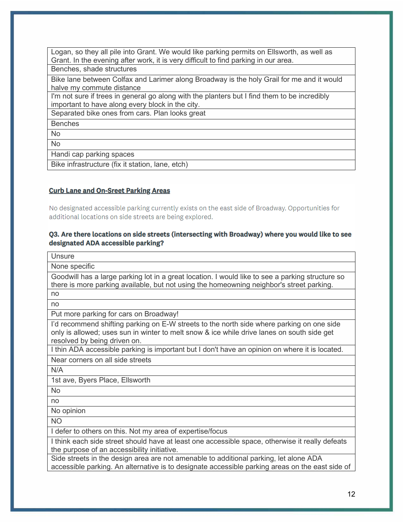Logan, so they all pile into Grant. We would like parking permits on Ellsworth, as well as Grant. In the evening after work, it is very difficult to find parking in our area. Benches, shade structures Bike lane between Colfax and Larimer along Broadway is the holy Grail for me and it would halve my commute distance I'm not sure if trees in general go along with the planters but I find them to be incredibly important to have along every block in the city. Separated bike ones from cars. Plan looks great Benches No No Handi cap parking spaces Bike infrastructure (fix it station, lane, etch)

### **Curb Lane and On-Sreet Parking Areas**

No designated accessible parking currently exists on the east side of Broadway. Opportunities for additional locations on side streets are being explored.

## Q3. Are there locations on side streets (intersecting with Broadway) where you would like to see designated ADA accessible parking?

**Unsure** None specific Goodwill has a large parking lot in a great location. I would like to see a parking structure so there is more parking available, but not using the homeowning neighbor's street parking. no no Put more parking for cars on Broadway! I'd recommend shifting parking on E-W streets to the north side where parking on one side only is allowed; uses sun in winter to melt snow & ice while drive lanes on south side get resolved by being driven on. I thin ADA accessible parking is important but I don't have an opinion on where it is located. Near corners on all side streets N/A 1st ave, Byers Place, Ellsworth No no No opinion NO I defer to others on this. Not my area of expertise/focus I think each side street should have at least one accessible space, otherwise it really defeats the purpose of an accessibility initiative. Side streets in the design area are not amenable to additional parking, let alone ADA accessible parking. An alternative is to designate accessible parking areas on the east side of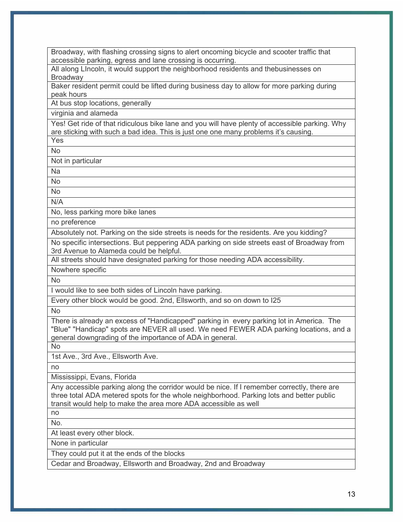Broadway, with flashing crossing signs to alert oncoming bicycle and scooter traffic that accessible parking, egress and lane crossing is occurring.

All along LIncoln, it would support the neighborhood residents and thebusinesses on **Broadway** 

Baker resident permit could be lifted during business day to allow for more parking during peak hours

At bus stop locations, generally

virginia and alameda

Yes! Get ride of that ridiculous bike lane and you will have plenty of accessible parking. Why are sticking with such a bad idea. This is just one one many problems it's causing.

Yes No

Not in particular

Na

No

No

N/A

No, less parking more bike lanes

no preference

Absolutely not. Parking on the side streets is needs for the residents. Are you kidding?

No specific intersections. But peppering ADA parking on side streets east of Broadway from 3rd Avenue to Alameda could be helpful.

All streets should have designated parking for those needing ADA accessibility.

Nowhere specific

No

I would like to see both sides of Lincoln have parking.

Every other block would be good. 2nd, Ellsworth, and so on down to I25

No

There is already an excess of "Handicapped" parking in every parking lot in America. The "Blue" "Handicap" spots are NEVER all used. We need FEWER ADA parking locations, and a general downgrading of the importance of ADA in general.

No

1st Ave., 3rd Ave., Ellsworth Ave.

no

Mississippi, Evans, Florida

Any accessible parking along the corridor would be nice. If I remember correctly, there are three total ADA metered spots for the whole neighborhood. Parking lots and better public transit would help to make the area more ADA accessible as well

no No.

At least every other block.

None in particular

They could put it at the ends of the blocks

Cedar and Broadway, Ellsworth and Broadway, 2nd and Broadway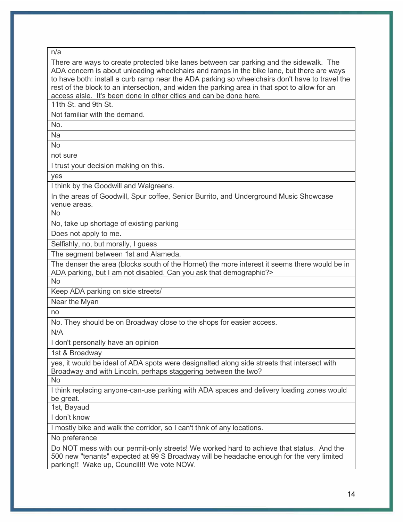| v | ٠<br>۰. |
|---|---------|
|   |         |

There are ways to create protected bike lanes between car parking and the sidewalk. The ADA concern is about unloading wheelchairs and ramps in the bike lane, but there are ways to have both: install a curb ramp near the ADA parking so wheelchairs don't have to travel the rest of the block to an intersection, and widen the parking area in that spot to allow for an access aisle. It's been done in other cities and can be done here.

11th St. and 9th St.

Not familiar with the demand.

No.

Na

No

not sure

I trust your decision making on this.

yes

I think by the Goodwill and Walgreens.

In the areas of Goodwill, Spur coffee, Senior Burrito, and Underground Music Showcase venue areas.

No

No, take up shortage of existing parking

Does not apply to me.

Selfishly, no, but morally, I guess

The segment between 1st and Alameda.

The denser the area (blocks south of the Hornet) the more interest it seems there would be in ADA parking, but I am not disabled. Can you ask that demographic?>

No

Keep ADA parking on side streets/

Near the Myan

no

No. They should be on Broadway close to the shops for easier access.

N/A

I don't personally have an opinion

1st & Broadway

yes, it would be ideal of ADA spots were designalted along side streets that intersect with Broadway and with Lincoln, perhaps staggering between the two?

No

I think replacing anyone-can-use parking with ADA spaces and delivery loading zones would be great.

1st, Bayaud

I don't know

I mostly bike and walk the corridor, so I can't thnk of any locations.

No preference

Do NOT mess with our permit-only streets! We worked hard to achieve that status. And the 500 new "tenants" expected at 99 S Broadway will be headache enough for the very limited parking!! Wake up, Council!!! We vote NOW.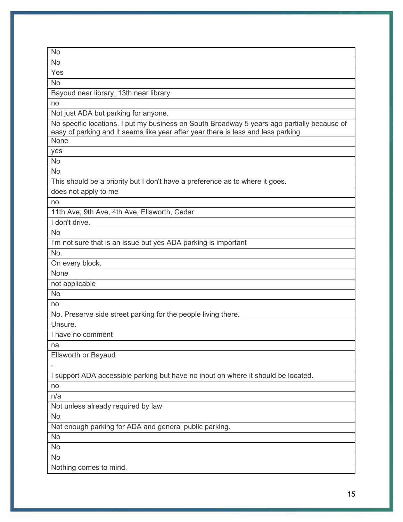| No                                                                                                                                                                              |
|---------------------------------------------------------------------------------------------------------------------------------------------------------------------------------|
| <b>No</b>                                                                                                                                                                       |
| Yes                                                                                                                                                                             |
| <b>No</b>                                                                                                                                                                       |
| Bayoud near library, 13th near library                                                                                                                                          |
| no                                                                                                                                                                              |
| Not just ADA but parking for anyone.                                                                                                                                            |
| No specific locations. I put my business on South Broadway 5 years ago partially because of<br>easy of parking and it seems like year after year there is less and less parking |
| None                                                                                                                                                                            |
| yes                                                                                                                                                                             |
| No                                                                                                                                                                              |
| <b>No</b>                                                                                                                                                                       |
| This should be a priority but I don't have a preference as to where it goes.                                                                                                    |
| does not apply to me                                                                                                                                                            |
| no                                                                                                                                                                              |
| 11th Ave, 9th Ave, 4th Ave, Ellsworth, Cedar                                                                                                                                    |
| I don't drive.                                                                                                                                                                  |
| <b>No</b>                                                                                                                                                                       |
| I'm not sure that is an issue but yes ADA parking is important                                                                                                                  |
| No.                                                                                                                                                                             |
| On every block.                                                                                                                                                                 |
| None                                                                                                                                                                            |
| not applicable                                                                                                                                                                  |
| <b>No</b>                                                                                                                                                                       |
| no                                                                                                                                                                              |
| No. Preserve side street parking for the people living there.                                                                                                                   |
| Unsure.                                                                                                                                                                         |
| I have no comment                                                                                                                                                               |
| na                                                                                                                                                                              |
| <b>Ellsworth or Bayaud</b>                                                                                                                                                      |
|                                                                                                                                                                                 |
| I support ADA accessible parking but have no input on where it should be located.                                                                                               |
| no                                                                                                                                                                              |
| n/a                                                                                                                                                                             |
| Not unless already required by law                                                                                                                                              |
| <b>No</b>                                                                                                                                                                       |
| Not enough parking for ADA and general public parking.                                                                                                                          |
| No                                                                                                                                                                              |
| <b>No</b>                                                                                                                                                                       |
| <b>No</b>                                                                                                                                                                       |
| Nothing comes to mind.                                                                                                                                                          |
|                                                                                                                                                                                 |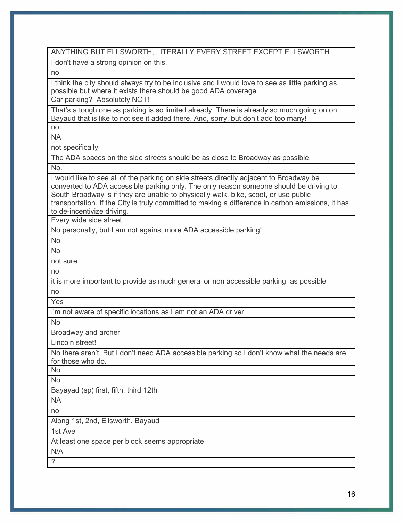| ANYTHING BUT ELLSWORTH, LITERALLY EVERY STREET EXCEPT ELLSWORTH                                                                                                   |
|-------------------------------------------------------------------------------------------------------------------------------------------------------------------|
| I don't have a strong opinion on this.                                                                                                                            |
| no                                                                                                                                                                |
| I think the city should always try to be inclusive and I would love to see as little parking as<br>possible but where it exists there should be good ADA coverage |
| Car parking? Absolutely NOT!                                                                                                                                      |
| That's a tough one as parking is so limited already. There is already so much going on on                                                                         |
| Bayaud that is like to not see it added there. And, sorry, but don't add too many!<br>no                                                                          |
| <b>NA</b>                                                                                                                                                         |
| not specifically                                                                                                                                                  |
| The ADA spaces on the side streets should be as close to Broadway as possible.                                                                                    |
| No.                                                                                                                                                               |
| I would like to see all of the parking on side streets directly adjacent to Broadway be                                                                           |
| converted to ADA accessible parking only. The only reason someone should be driving to                                                                            |
| South Broadway is if they are unable to physically walk, bike, scoot, or use public                                                                               |
| transportation. If the City is truly committed to making a difference in carbon emissions, it has                                                                 |
| to de-incentivize driving.<br>Every wide side street                                                                                                              |
| No personally, but I am not against more ADA accessible parking!                                                                                                  |
| <b>No</b>                                                                                                                                                         |
| <b>No</b>                                                                                                                                                         |
| not sure                                                                                                                                                          |
| no                                                                                                                                                                |
| it is more important to provide as much general or non accessible parking as possible                                                                             |
| no                                                                                                                                                                |
| Yes                                                                                                                                                               |
| I'm not aware of specific locations as I am not an ADA driver                                                                                                     |
| <b>No</b>                                                                                                                                                         |
| Broadway and archer                                                                                                                                               |
| Lincoln street!                                                                                                                                                   |
| No there aren't. But I don't need ADA accessible parking so I don't know what the needs are<br>for those who do.                                                  |
| No                                                                                                                                                                |
| No                                                                                                                                                                |
| Bayayad (sp) first, fifth, third 12th                                                                                                                             |
| <b>NA</b>                                                                                                                                                         |
| no                                                                                                                                                                |
| Along 1st, 2nd, Ellsworth, Bayaud                                                                                                                                 |
| 1st Ave                                                                                                                                                           |
| At least one space per block seems appropriate                                                                                                                    |
| N/A                                                                                                                                                               |
| ?                                                                                                                                                                 |
|                                                                                                                                                                   |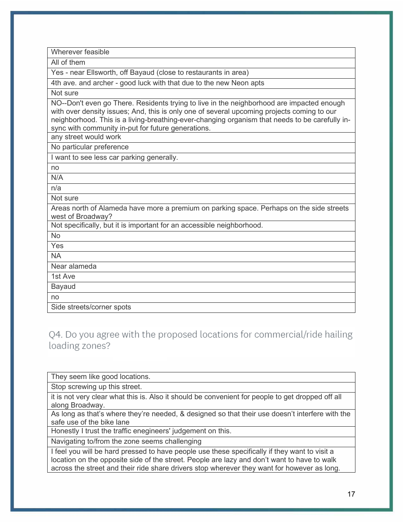| Wherever feasible                                                                                                                                                                                                                                                                                                                               |
|-------------------------------------------------------------------------------------------------------------------------------------------------------------------------------------------------------------------------------------------------------------------------------------------------------------------------------------------------|
| All of them                                                                                                                                                                                                                                                                                                                                     |
| Yes - near Ellsworth, off Bayaud (close to restaurants in area)                                                                                                                                                                                                                                                                                 |
| 4th ave. and archer - good luck with that due to the new Neon apts                                                                                                                                                                                                                                                                              |
| Not sure                                                                                                                                                                                                                                                                                                                                        |
| NO--Don't even go There. Residents trying to live in the neighborhood are impacted enough<br>with over density issues; And, this is only one of several upcoming projects coming to our<br>neighborhood. This is a living-breathing-ever-changing organism that needs to be carefully in-<br>sync with community in-put for future generations. |
| any street would work                                                                                                                                                                                                                                                                                                                           |
| No particular preference                                                                                                                                                                                                                                                                                                                        |
| I want to see less car parking generally.                                                                                                                                                                                                                                                                                                       |
| no                                                                                                                                                                                                                                                                                                                                              |
| N/A                                                                                                                                                                                                                                                                                                                                             |
| n/a                                                                                                                                                                                                                                                                                                                                             |
| Not sure                                                                                                                                                                                                                                                                                                                                        |
| Areas north of Alameda have more a premium on parking space. Perhaps on the side streets<br>west of Broadway?                                                                                                                                                                                                                                   |
| Not specifically, but it is important for an accessible neighborhood.                                                                                                                                                                                                                                                                           |
| No                                                                                                                                                                                                                                                                                                                                              |
| Yes                                                                                                                                                                                                                                                                                                                                             |
| <b>NA</b>                                                                                                                                                                                                                                                                                                                                       |
| Near alameda                                                                                                                                                                                                                                                                                                                                    |
| 1st Ave                                                                                                                                                                                                                                                                                                                                         |
| <b>Bayaud</b>                                                                                                                                                                                                                                                                                                                                   |
| no                                                                                                                                                                                                                                                                                                                                              |
| Side streets/corner spots                                                                                                                                                                                                                                                                                                                       |

Q4. Do you agree with the proposed locations for commercial/ride hailing loading zones?

They seem like good locations.

Stop screwing up this street.

it is not very clear what this is. Also it should be convenient for people to get dropped off all along Broadway.

As long as that's where they're needed, & designed so that their use doesn't interfere with the safe use of the bike lane

Honestly I trust the traffic enegineers' judgement on this.

Navigating to/from the zone seems challenging

I feel you will be hard pressed to have people use these specifically if they want to visit a location on the opposite side of the street. People are lazy and don't want to have to walk across the street and their ride share drivers stop wherever they want for however as long.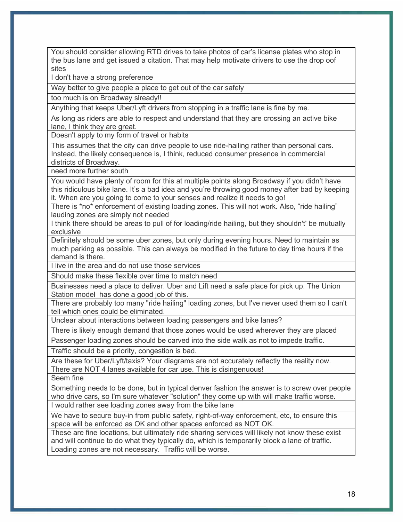You should consider allowing RTD drives to take photos of car's license plates who stop in the bus lane and get issued a citation. That may help motivate drivers to use the drop oof sites

I don't have a strong preference

Way better to give people a place to get out of the car safely

too much is on Broadway slready!!

Anything that keeps Uber/Lyft drivers from stopping in a traffic lane is fine by me.

As long as riders are able to respect and understand that they are crossing an active bike lane, I think they are great.

Doesn't apply to my form of travel or habits

This assumes that the city can drive people to use ride-hailing rather than personal cars. Instead, the likely consequence is, I think, reduced consumer presence in commercial districts of Broadway.

need more further south

You would have plenty of room for this at multiple points along Broadway if you didn't have this ridiculous bike lane. It's a bad idea and you're throwing good money after bad by keeping it. When are you going to come to your senses and realize it needs to go!

There is \*no\* enforcement of existing loading zones. This will not work. Also, "ride hailing" lauding zones are simply not needed

I think there should be areas to pull of for loading/ride hailing, but they shouldn't' be mutually exclusive

Definitely should be some uber zones, but only during evening hours. Need to maintain as much parking as possible. This can always be modified in the future to day time hours if the demand is there.

I live in the area and do not use those services

Should make these flexible over time to match need

Businesses need a place to deliver. Uber and Lift need a safe place for pick up. The Union Station model has done a good job of this.

There are probably too many "ride hailing" loading zones, but I've never used them so I can't tell which ones could be eliminated.

Unclear about interactions between loading passengers and bike lanes?

There is likely enough demand that those zones would be used wherever they are placed

Passenger loading zones should be carved into the side walk as not to impede traffic.

Traffic should be a priority, congestion is bad.

Are these for Uber/Lyft/taxis? Your diagrams are not accurately reflectly the reality now. There are NOT 4 lanes available for car use. This is disingenuous!

Seem fine

Something needs to be done, but in typical denver fashion the answer is to screw over people who drive cars, so I'm sure whatever "solution" they come up with will make traffic worse.

I would rather see loading zones away from the bike lane

We have to secure buy-in from public safety, right-of-way enforcement, etc, to ensure this space will be enforced as OK and other spaces enforced as NOT OK.

These are fine locations, but ultimately ride sharing services will likely not know these exist and will continue to do what they typically do, which is temporarily block a lane of traffic. Loading zones are not necessary. Traffic will be worse.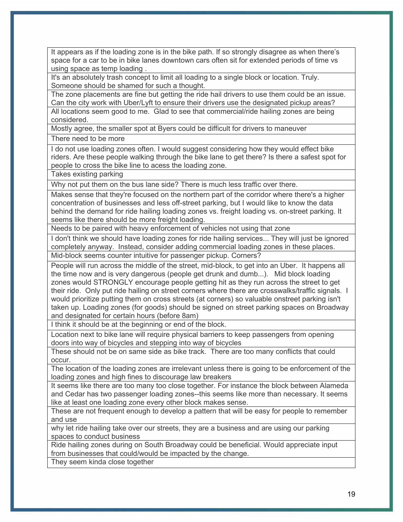It appears as if the loading zone is in the bike path. If so strongly disagree as when there's space for a car to be in bike lanes downtown cars often sit for extended periods of time vs using space as temp loading .

It's an absolutely trash concept to limit all loading to a single block or location. Truly. Someone should be shamed for such a thought.

The zone placements are fine but getting the ride hail drivers to use them could be an issue. Can the city work with Uber/Lyft to ensure their drivers use the designated pickup areas?

All locations seem good to me. Glad to see that commercial/ride hailing zones are being considered.

Mostly agree, the smaller spot at Byers could be difficult for drivers to maneuver

There need to be more

I do not use loading zones often. I would suggest considering how they would effect bike riders. Are these people walking through the bike lane to get there? Is there a safest spot for people to cross the bike line to acess the loading zone.

Takes existing parking

Why not put them on the bus lane side? There is much less traffic over there.

Makes sense that they're focused on the northern part of the corridor where there's a higher concentration of businesses and less off-street parking, but I would like to know the data behind the demand for ride hailing loading zones vs. freight loading vs. on-street parking. It seems like there should be more freight loading.

Needs to be paired with heavy enforcement of vehicles not using that zone

I don't think we should have loading zones for ride hailing services... They will just be ignored completely anyway. Instead, consider adding commercial loading zones in these places. Mid-block seems counter intuitive for passenger pickup. Corners?

People will run across the middle of the street, mid-block, to get into an Uber. It happens all

the time now and is very dangerous (people get drunk and dumb...). Mid block loading zones would STRONGLY encourage people getting hit as they run across the street to get their ride. Only put ride hailing on street corners where there are crosswalks/traffic signals. I would prioritize putting them on cross streets (at corners) so valuable onstreet parking isn't taken up. Loading zones (for goods) should be signed on street parking spaces on Broadway and designated for certain hours (before 8am)

I think it should be at the beginning or end of the block.

Location next to bike lane will require physical barriers to keep passengers from opening doors into way of bicycles and stepping into way of bicycles

These should not be on same side as bike track. There are too many conflicts that could occur.

The location of the loading zones are irrelevant unless there is going to be enforcement of the loading zones and high fines to discourage law breakers

It seems like there are too many too close together. For instance the block between Alameda and Cedar has two passenger loading zones--this seems like more than necessary. It seems like at least one loading zone every other block makes sense.

These are not frequent enough to develop a pattern that will be easy for people to remember and use

why let ride hailing take over our streets, they are a business and are using our parking spaces to conduct business

Ride hailing zones during on South Broadway could be beneficial. Would appreciate input from businesses that could/would be impacted by the change.

They seem kinda close together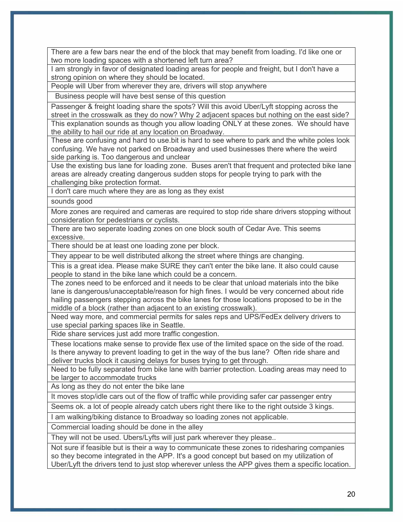There are a few bars near the end of the block that may benefit from loading. I'd like one or two more loading spaces with a shortened left turn area?

I am strongly in favor of designated loading areas for people and freight, but I don't have a strong opinion on where they should be located.

People will Uber from wherever they are, drivers will stop anywhere

Business people will have best sense of this question

Passenger & freight loading share the spots? Will this avoid Uber/Lyft stopping across the street in the crosswalk as they do now? Why 2 adjacent spaces but nothing on the east side? This explanation sounds as though you allow loading ONLY at these zones. We should have

the ability to hail our ride at any location on Broadway.

These are confusing and hard to use.bit is hard to see where to park and the white poles look confusing. We have not parked on Broadway and used businesses there where the weird side parking is. Too dangerous and unclear

Use the existing bus lane for loading zone. Buses aren't that frequent and protected bike lane areas are already creating dangerous sudden stops for people trying to park with the challenging bike protection format.

I don't care much where they are as long as they exist

sounds good

More zones are required and cameras are required to stop ride share drivers stopping without consideration for pedestrians or cyclists.

There are two seperate loading zones on one block south of Cedar Ave. This seems excessive.

There should be at least one loading zone per block.

They appear to be well distributed alkong the street where things are changing.

This is a great idea. Please make SURE they can't enter the bike lane. It also could cause people to stand in the bike lane which could be a concern.

The zones need to be enforced and it needs to be clear that unload materials into the bike lane is dangerous/unacceptable/reason for high fines. I would be very concerned about ride hailing passengers stepping across the bike lanes for those locations proposed to be in the middle of a block (rather than adjacent to an existing crosswalk).

Need way more, and commercial permits for sales reps and UPS/FedEx delivery drivers to use special parking spaces like in Seattle.

Ride share services just add more traffic congestion.

These locations make sense to provide flex use of the limited space on the side of the road. Is there anyway to prevent loading to get in the way of the bus lane? Often ride share and deliver trucks block it causing delays for buses trying to get through.

Need to be fully separated from bike lane with barrier protection. Loading areas may need to be larger to accommodate trucks

As long as they do not enter the bike lane

It moves stop/idle cars out of the flow of traffic while providing safer car passenger entry

Seems ok. a lot of people already catch ubers right there like to the right outside 3 kings.

I am walking/biking distance to Broadway so loading zones not applicable.

Commercial loading should be done in the alley

They will not be used. Ubers/Lyfts will just park wherever they please..

Not sure if feasible but is their a way to communicate these zones to ridesharing companies so they become integrated in the APP. It's a good concept but based on my utilization of Uber/Lyft the drivers tend to just stop wherever unless the APP gives them a specific location.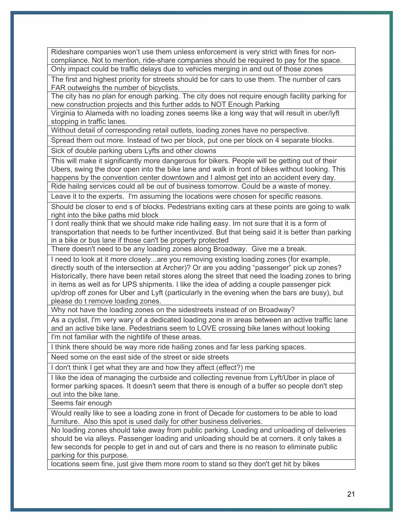Rideshare companies won't use them unless enforcement is very strict with fines for noncompliance. Not to mention, ride-share companies should be required to pay for the space. Only impact could be traffic delays due to vehicles merging in and out of those zones

The first and highest priority for streets should be for cars to use them. The number of cars FAR outweighs the number of bicyclists.

The city has no plan for enough parking. The city does not require enough facility parking for new construction projects and this further adds to NOT Enough Parking

Virginia to Alameda with no loading zones seems like a long way that will result in uber/lyft stopping in traffic lanes.

Without detail of corresponding retail outlets, loading zones have no perspective.

Spread them out more. Instead of two per block, put one per block on 4 separate blocks.

Sick of double parking ubers Lyfts and other clowns

This will make it significantly more dangerous for bikers. People will be getting out of their Ubers, swing the door open into the bike lane and walk in front of bikes without looking. This happens by the convention center downtown and I almost get into an accident every day.

Ride hailng services could all be out of business tomorrow. Could be a waste of money.

Leave it to the experts. I'm assuming the locations were chosen for specific reasons.

Should be closer to end s of blocks. Pedestrians exiting cars at these points are going to walk right into the bike paths mid block

I dont really think that we should make ride hailing easy. Im not sure that it is a form of transportation that needs to be further incentivized. But that being said it is better than parking in a bike or bus lane if those can't be properly protected

There doesn't need to be any loading zones along Broadway. Give me a break.

I need to look at it more closely...are you removing existing loading zones (for example, directly south of the intersection at Archer)? Or are you adding "passenger" pick up zones? Historically, there have been retail stores along the street that need the loading zones to bring in items as well as for UPS shipments. I like the idea of adding a couple passenger pick up/drop off zones for Uber and Lyft (particularly in the evening when the bars are busy), but please do t remove loading zones.

Why not have the loading zones on the sidestreets instead of on Broadway?

As a cyclist, I'm very wary of a dedicated loading zone in areas between an active traffic lane and an active bike lane. Pedestrians seem to LOVE crossing bike lanes without looking I'm not familiar with the nightlife of these areas.

I think there should be way more ride hailing zones and far less parking spaces.

Need some on the east side of the street or side streets

I don't think I get what they are and how they affect (effect?) me

I like the idea of managing the curbside and collecting revenue from Lyft/Uber in place of former parking spaces. It doesn't seem that there is enough of a buffer so people don't step out into the bike lane.

Seems fair enough

Would really like to see a loading zone in front of Decade for customers to be able to load furniture. Also this spot is used daily for other business deliveries.

No loading zones should take away from public parking. Loading and unloading of deliveries should be via alleys. Passenger loading and unloading should be at corners. it only takes a few seconds for people to get in and out of cars and there is no reason to eliminate public parking for this purpose.

locations seem fine, just give them more room to stand so they don't get hit by bikes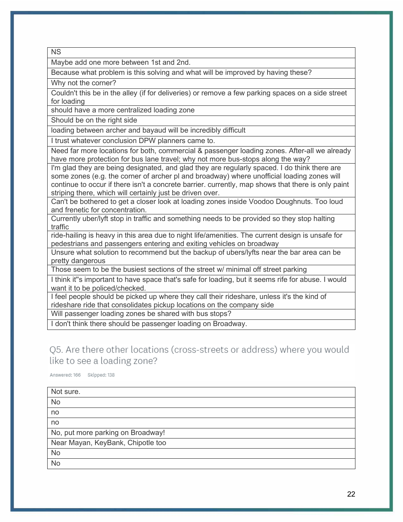NS

Maybe add one more between 1st and 2nd.

Because what problem is this solving and what will be improved by having these?

Why not the corner?

Couldn't this be in the alley (if for deliveries) or remove a few parking spaces on a side street for loading

should have a more centralized loading zone

Should be on the right side

loading between archer and bayaud will be incredibly difficult

I trust whatever conclusion DPW planners came to.

Need far more locations for both, commercial & passenger loading zones. After-all we already have more protection for bus lane travel; why not more bus-stops along the way?

I'm glad they are being designated, and glad they are regularly spaced. I do think there are some zones (e.g. the corner of archer pl and broadway) where unofficial loading zones will continue to occur if there isn't a concrete barrier. currently, map shows that there is only paint striping there, which will certainly just be driven over.

Can't be bothered to get a closer look at loading zones inside Voodoo Doughnuts. Too loud and frenetic for concentration.

Currently uber/lyft stop in traffic and something needs to be provided so they stop halting traffic

ride-hailing is heavy in this area due to night life/amenities. The current design is unsafe for pedestrians and passengers entering and exiting vehicles on broadway

Unsure what solution to recommend but the backup of ubers/lyfts near the bar area can be pretty dangerous

Those seem to be the busiest sections of the street w/ minimal off street parking

I think it''s important to have space that's safe for loading, but it seems rife for abuse. I would want it to be policed/checked.

I feel people should be picked up where they call their rideshare, unless it's the kind of rideshare ride that consolidates pickup locations on the company side

Will passenger loading zones be shared with bus stops?

I don't think there should be passenger loading on Broadway.

# Q5. Are there other locations (cross-streets or address) where you would like to see a loading zone?

Answered: 166 Skipped: 138

| Not sure.                         |
|-----------------------------------|
| <b>No</b>                         |
| no                                |
| no                                |
| No, put more parking on Broadway! |
| Near Mayan, KeyBank, Chipotle too |
| <b>No</b>                         |
| <b>No</b>                         |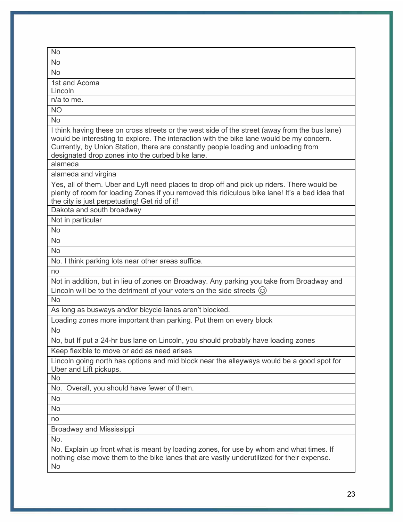| No                                                                                                                                                                                                                                                                                                                                   |
|--------------------------------------------------------------------------------------------------------------------------------------------------------------------------------------------------------------------------------------------------------------------------------------------------------------------------------------|
| <b>No</b>                                                                                                                                                                                                                                                                                                                            |
| <b>No</b>                                                                                                                                                                                                                                                                                                                            |
| 1st and Acoma                                                                                                                                                                                                                                                                                                                        |
| Lincoln                                                                                                                                                                                                                                                                                                                              |
| n/a to me.                                                                                                                                                                                                                                                                                                                           |
| <b>NO</b>                                                                                                                                                                                                                                                                                                                            |
| <b>No</b>                                                                                                                                                                                                                                                                                                                            |
| I think having these on cross streets or the west side of the street (away from the bus lane)<br>would be interesting to explore. The interaction with the bike lane would be my concern.<br>Currently, by Union Station, there are constantly people loading and unloading from<br>designated drop zones into the curbed bike lane. |
| alameda                                                                                                                                                                                                                                                                                                                              |
| alameda and virgina                                                                                                                                                                                                                                                                                                                  |
| Yes, all of them. Uber and Lyft need places to drop off and pick up riders. There would be<br>plenty of room for loading Zones if you removed this ridiculous bike lane! It's a bad idea that<br>the city is just perpetuating! Get rid of it!                                                                                       |
| Dakota and south broadway                                                                                                                                                                                                                                                                                                            |
| Not in particular                                                                                                                                                                                                                                                                                                                    |
| <b>No</b>                                                                                                                                                                                                                                                                                                                            |
| <b>No</b>                                                                                                                                                                                                                                                                                                                            |
| <b>No</b>                                                                                                                                                                                                                                                                                                                            |
| No. I think parking lots near other areas suffice.                                                                                                                                                                                                                                                                                   |
| no                                                                                                                                                                                                                                                                                                                                   |
| Not in addition, but in lieu of zones on Broadway. Any parking you take from Broadway and<br>Lincoln will be to the detriment of your voters on the side streets $\circledcirc$                                                                                                                                                      |
| <b>No</b>                                                                                                                                                                                                                                                                                                                            |
| As long as busways and/or bicycle lanes aren't blocked.                                                                                                                                                                                                                                                                              |
| Loading zones more important than parking. Put them on every block                                                                                                                                                                                                                                                                   |
| <b>No</b>                                                                                                                                                                                                                                                                                                                            |
| No, but If put a 24-hr bus lane on Lincoln, you should probably have loading zones                                                                                                                                                                                                                                                   |
| Keep flexible to move or add as need arises                                                                                                                                                                                                                                                                                          |
| Lincoln going north has options and mid block near the alleyways would be a good spot for<br>Uber and Lift pickups.                                                                                                                                                                                                                  |
| No                                                                                                                                                                                                                                                                                                                                   |
| No. Overall, you should have fewer of them.                                                                                                                                                                                                                                                                                          |
| <b>No</b>                                                                                                                                                                                                                                                                                                                            |
| <b>No</b>                                                                                                                                                                                                                                                                                                                            |
| no                                                                                                                                                                                                                                                                                                                                   |
| Broadway and Mississippi                                                                                                                                                                                                                                                                                                             |
| No.                                                                                                                                                                                                                                                                                                                                  |
| No. Explain up front what is meant by loading zones, for use by whom and what times. If<br>nothing else move them to the bike lanes that are vastly underutilized for their expense.                                                                                                                                                 |
| <b>No</b>                                                                                                                                                                                                                                                                                                                            |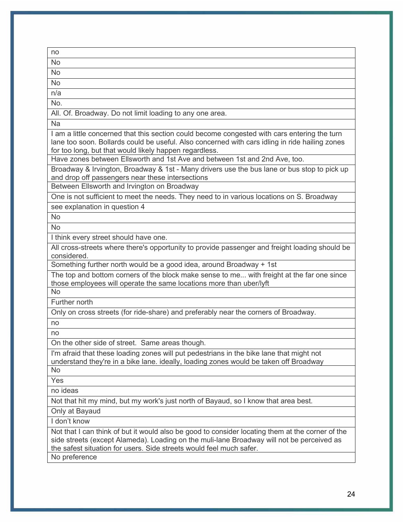| no                                                                                                                                                                                                                                                                   |
|----------------------------------------------------------------------------------------------------------------------------------------------------------------------------------------------------------------------------------------------------------------------|
| <b>No</b>                                                                                                                                                                                                                                                            |
| <b>No</b>                                                                                                                                                                                                                                                            |
| <b>No</b>                                                                                                                                                                                                                                                            |
| n/a                                                                                                                                                                                                                                                                  |
| No.                                                                                                                                                                                                                                                                  |
| All. Of. Broadway. Do not limit loading to any one area.                                                                                                                                                                                                             |
| <b>Na</b>                                                                                                                                                                                                                                                            |
| I am a little concerned that this section could become congested with cars entering the turn<br>lane too soon. Bollards could be useful. Also concerned with cars idling in ride hailing zones<br>for too long, but that would likely happen regardless.             |
| Have zones between Ellsworth and 1st Ave and between 1st and 2nd Ave, too.                                                                                                                                                                                           |
| Broadway & Irvington, Broadway & 1st - Many drivers use the bus lane or bus stop to pick up<br>and drop off passengers near these intersections                                                                                                                      |
| Between Ellsworth and Irvington on Broadway                                                                                                                                                                                                                          |
| One is not sufficient to meet the needs. They need to in various locations on S. Broadway                                                                                                                                                                            |
| see explanation in question 4                                                                                                                                                                                                                                        |
| <b>No</b>                                                                                                                                                                                                                                                            |
| <b>No</b>                                                                                                                                                                                                                                                            |
| I think every street should have one.                                                                                                                                                                                                                                |
| All cross-streets where there's opportunity to provide passenger and freight loading should be<br>considered.                                                                                                                                                        |
| Something further north would be a good idea, around Broadway + 1st                                                                                                                                                                                                  |
| The top and bottom corners of the block make sense to me with freight at the far one since                                                                                                                                                                           |
| those employees will operate the same locations more than uber/lyft                                                                                                                                                                                                  |
| <b>No</b>                                                                                                                                                                                                                                                            |
| Further north                                                                                                                                                                                                                                                        |
| Only on cross streets (for ride-share) and preferably near the corners of Broadway.                                                                                                                                                                                  |
| no                                                                                                                                                                                                                                                                   |
| no                                                                                                                                                                                                                                                                   |
| On the other side of street. Same areas though.                                                                                                                                                                                                                      |
| I'm afraid that these loading zones will put pedestrians in the bike lane that might not<br>understand they're in a bike lane. ideally, loading zones would be taken off Broadway                                                                                    |
| <b>No</b>                                                                                                                                                                                                                                                            |
| Yes                                                                                                                                                                                                                                                                  |
| no ideas                                                                                                                                                                                                                                                             |
| Not that hit my mind, but my work's just north of Bayaud, so I know that area best.                                                                                                                                                                                  |
| Only at Bayaud                                                                                                                                                                                                                                                       |
| I don't know                                                                                                                                                                                                                                                         |
| Not that I can think of but it would also be good to consider locating them at the corner of the<br>side streets (except Alameda). Loading on the muli-lane Broadway will not be perceived as<br>the safest situation for users. Side streets would feel much safer. |
| No preference                                                                                                                                                                                                                                                        |
|                                                                                                                                                                                                                                                                      |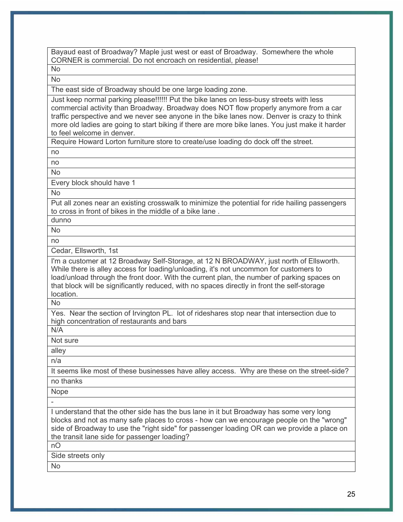Bayaud east of Broadway? Maple just west or east of Broadway. Somewhere the whole CORNER is commercial. Do not encroach on residential, please!

No No

The east side of Broadway should be one large loading zone.

Just keep normal parking please!!!!!! Put the bike lanes on less-busy streets with less commercial activity than Broadway. Broadway does NOT flow properly anymore from a car traffic perspective and we never see anyone in the bike lanes now. Denver is crazy to think more old ladies are going to start biking if there are more bike lanes. You just make it harder to feel welcome in denver.

Require Howard Lorton furniture store to create/use loading do dock off the street.

no

no

No

Every block should have 1

No

Put all zones near an existing crosswalk to minimize the potential for ride hailing passengers to cross in front of bikes in the middle of a bike lane .

No

dunno

no

Cedar, Ellsworth, 1st

I'm a customer at 12 Broadway Self-Storage, at 12 N BROADWAY, just north of Ellsworth. While there is alley access for loading/unloading, it's not uncommon for customers to load/unload through the front door. With the current plan, the number of parking spaces on that block will be significantly reduced, with no spaces directly in front the self-storage location.

No

Yes. Near the section of Irvington PL. lot of rideshares stop near that intersection due to high concentration of restaurants and bars

N/A

Not sure

alley

n/a

It seems like most of these businesses have alley access. Why are these on the street-side? no thanks

Nope

-

I understand that the other side has the bus lane in it but Broadway has some very long blocks and not as many safe places to cross - how can we encourage people on the "wrong" side of Broadway to use the "right side" for passenger loading OR can we provide a place on the transit lane side for passenger loading?

nO

Side streets only

No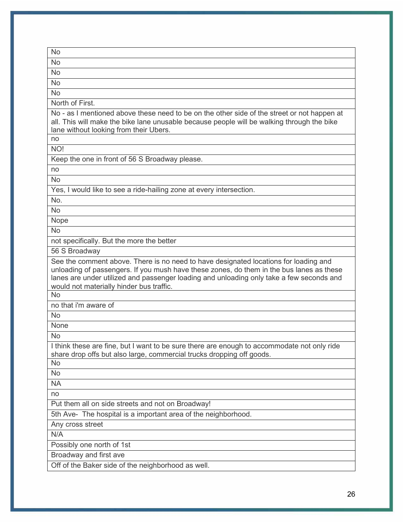| <b>No</b>                                                                                                                                                                                                                                                                                                                |
|--------------------------------------------------------------------------------------------------------------------------------------------------------------------------------------------------------------------------------------------------------------------------------------------------------------------------|
| <b>No</b>                                                                                                                                                                                                                                                                                                                |
| <b>No</b>                                                                                                                                                                                                                                                                                                                |
| <b>No</b>                                                                                                                                                                                                                                                                                                                |
| <b>No</b>                                                                                                                                                                                                                                                                                                                |
| North of First.                                                                                                                                                                                                                                                                                                          |
| No - as I mentioned above these need to be on the other side of the street or not happen at<br>all. This will make the bike lane unusable because people will be walking through the bike<br>lane without looking from their Ubers.                                                                                      |
| no                                                                                                                                                                                                                                                                                                                       |
| NO!                                                                                                                                                                                                                                                                                                                      |
| Keep the one in front of 56 S Broadway please.                                                                                                                                                                                                                                                                           |
| no                                                                                                                                                                                                                                                                                                                       |
| <b>No</b>                                                                                                                                                                                                                                                                                                                |
| Yes, I would like to see a ride-hailing zone at every intersection.                                                                                                                                                                                                                                                      |
| No.                                                                                                                                                                                                                                                                                                                      |
| <b>No</b>                                                                                                                                                                                                                                                                                                                |
| Nope                                                                                                                                                                                                                                                                                                                     |
| <b>No</b>                                                                                                                                                                                                                                                                                                                |
| not specifically. But the more the better                                                                                                                                                                                                                                                                                |
| 56 S Broadway                                                                                                                                                                                                                                                                                                            |
| See the comment above. There is no need to have designated locations for loading and<br>unloading of passengers. If you mush have these zones, do them in the bus lanes as these<br>lanes are under utilized and passenger loading and unloading only take a few seconds and<br>would not materially hinder bus traffic. |
| <b>No</b>                                                                                                                                                                                                                                                                                                                |
| no that i'm aware of                                                                                                                                                                                                                                                                                                     |
| <b>No</b>                                                                                                                                                                                                                                                                                                                |
| None                                                                                                                                                                                                                                                                                                                     |
| <b>No</b>                                                                                                                                                                                                                                                                                                                |
| I think these are fine, but I want to be sure there are enough to accommodate not only ride<br>share drop offs but also large, commercial trucks dropping off goods.                                                                                                                                                     |
| No                                                                                                                                                                                                                                                                                                                       |
| <b>No</b>                                                                                                                                                                                                                                                                                                                |
| <b>NA</b>                                                                                                                                                                                                                                                                                                                |
| no                                                                                                                                                                                                                                                                                                                       |
| Put them all on side streets and not on Broadway!                                                                                                                                                                                                                                                                        |
| 5th Ave- The hospital is a important area of the neighborhood.                                                                                                                                                                                                                                                           |
| Any cross street                                                                                                                                                                                                                                                                                                         |
| N/A                                                                                                                                                                                                                                                                                                                      |
| Possibly one north of 1st                                                                                                                                                                                                                                                                                                |
| Broadway and first ave                                                                                                                                                                                                                                                                                                   |
| Off of the Baker side of the neighborhood as well.                                                                                                                                                                                                                                                                       |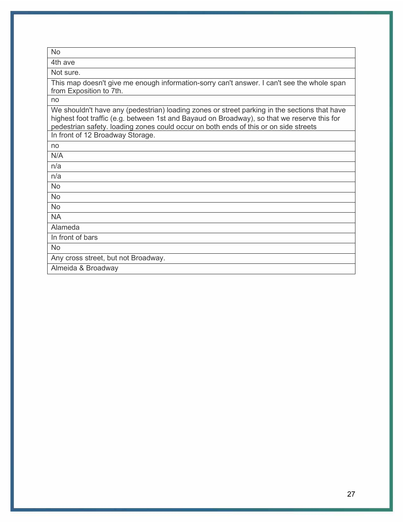| <b>No</b>                                                                                                                                                                                                                                                                           |
|-------------------------------------------------------------------------------------------------------------------------------------------------------------------------------------------------------------------------------------------------------------------------------------|
| 4th ave                                                                                                                                                                                                                                                                             |
| Not sure.                                                                                                                                                                                                                                                                           |
| This map doesn't give me enough information-sorry can't answer. I can't see the whole span<br>from Exposition to 7th.                                                                                                                                                               |
| no                                                                                                                                                                                                                                                                                  |
| We shouldn't have any (pedestrian) loading zones or street parking in the sections that have<br>highest foot traffic (e.g. between 1st and Bayaud on Broadway), so that we reserve this for<br>pedestrian safety. loading zones could occur on both ends of this or on side streets |
| In front of 12 Broadway Storage.                                                                                                                                                                                                                                                    |
| no                                                                                                                                                                                                                                                                                  |
| N/A                                                                                                                                                                                                                                                                                 |
| n/a                                                                                                                                                                                                                                                                                 |
| n/a                                                                                                                                                                                                                                                                                 |
| <b>No</b>                                                                                                                                                                                                                                                                           |
| <b>No</b>                                                                                                                                                                                                                                                                           |
| <b>No</b>                                                                                                                                                                                                                                                                           |
| <b>NA</b>                                                                                                                                                                                                                                                                           |
| Alameda                                                                                                                                                                                                                                                                             |
| In front of bars                                                                                                                                                                                                                                                                    |
| <b>No</b>                                                                                                                                                                                                                                                                           |
| Any cross street, but not Broadway.                                                                                                                                                                                                                                                 |
| Almeida & Broadway                                                                                                                                                                                                                                                                  |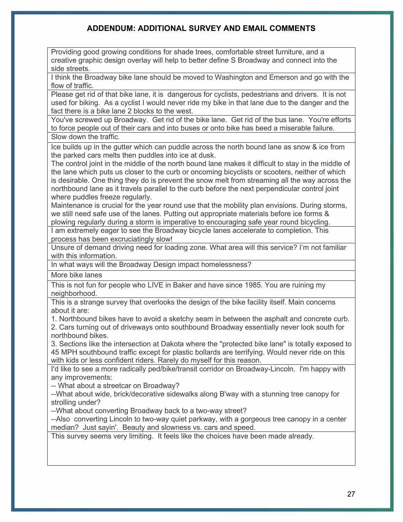# **ADDENDUM: ADDITIONAL SURVEY AND EMAIL COMMENTS**

Providing good growing conditions for shade trees, comfortable street furniture, and a creative graphic design overlay will help to better define S Broadway and connect into the side streets.

I think the Broadway bike lane should be moved to Washington and Emerson and go with the flow of traffic.

Please get rid of that bike lane, it is dangerous for cyclists, pedestrians and drivers. It is not used for biking. As a cyclist I would never ride my bike in that lane due to the danger and the fact there is a bike lane 2 blocks to the west.

You've screwed up Broadway. Get rid of the bike lane. Get rid of the bus lane. You're efforts to force people out of their cars and into buses or onto bike has beed a miserable failure. Slow down the traffic.

Ice builds up in the gutter which can puddle across the north bound lane as snow & ice from the parked cars melts then puddles into ice at dusk.

The control joint in the middle of the north bound lane makes it difficult to stay in the middle of the lane which puts us closer to the curb or oncoming bicyclists or scooters, neither of which is desirable. One thing they do is prevent the snow melt from streaming all the way across the northbound lane as it travels parallel to the curb before the next perpendicular control joint where puddles freeze regularly.

Maintenance is crucial for the year round use that the mobility plan envisions. During storms, we still need safe use of the lanes. Putting out appropriate materials before ice forms & plowing regularly during a storm is imperative to encouraging safe year round bicycling.

I am extremely eager to see the Broadway bicycle lanes accelerate to completion. This process has been excruciatingly slow!

Unsure of demand driving need for loading zone. What area will this service? I'm not familiar with this information.

In what ways will the Broadway Design impact homelessness?

More bike lanes

This is not fun for people who LIVE in Baker and have since 1985. You are ruining my neighborhood.

This is a strange survey that overlooks the design of the bike facility itself. Main concerns about it are:

1. Northbound bikes have to avoid a sketchy seam in between the asphalt and concrete curb. 2. Cars turning out of driveways onto southbound Broadway essentially never look south for

northbound bikes.

3. Sections like the intersection at Dakota where the "protected bike lane" is totally exposed to 45 MPH southbound traffic except for plastic bollards are terrifying. Would never ride on this with kids or less confident riders. Rarely do myself for this reason.

I'd like to see a more radically ped/bike/transit corridor on Broadway-Lincoln. I'm happy with any improvements:

-- What about a streetcar on Broadway?

--What about wide, brick/decorative sidewalks along B'way with a stunning tree canopy for strolling under?

--What about converting Broadway back to a two-way street?

--Also converting Lincoln to two-way quiet parkway, with a gorgeous tree canopy in a center median? Just sayin'. Beauty and slowness vs. cars and speed.

This survey seems very limiting. It feels like the choices have been made already.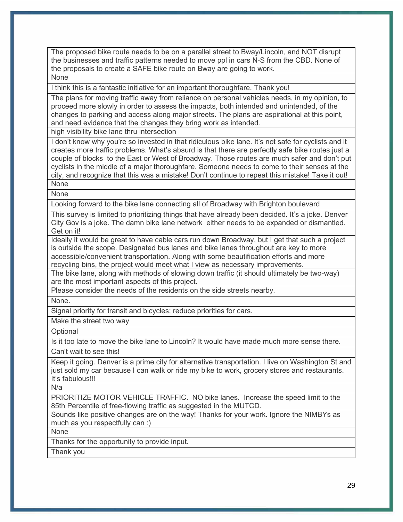The proposed bike route needs to be on a parallel street to Bway/Lincoln, and NOT disrupt the businesses and traffic patterns needed to move ppl in cars N-S from the CBD. None of the proposals to create a SAFE bike route on Bway are going to work.

None

I think this is a fantastic initiative for an important thoroughfare. Thank you!

The plans for moving traffic away from reliance on personal vehicles needs, in my opinion, to proceed more slowly in order to assess the impacts, both intended and unintended, of the changes to parking and access along major streets. The plans are aspirational at this point, and need evidence that the changes they bring work as intended.

high visibility bike lane thru intersection

I don't know why you're so invested in that ridiculous bike lane. It's not safe for cyclists and it creates more traffic problems. What's absurd is that there are perfectly safe bike routes just a couple of blocks to the East or West of Broadway. Those routes are much safer and don't put cyclists in the middle of a major thoroughfare. Someone needs to come to their senses at the city, and recognize that this was a mistake! Don't continue to repeat this mistake! Take it out! None

None

Looking forward to the bike lane connecting all of Broadway with Brighton boulevard

This survey is limited to prioritizing things that have already been decided. It's a joke. Denver City Gov is a joke. The damn bike lane network either needs to be expanded or dismantled. Get on it!

Ideally it would be great to have cable cars run down Broadway, but I get that such a project is outside the scope. Designated bus lanes and bike lanes throughout are key to more accessible/convenient transportation. Along with some beautification efforts and more recycling bins, the project would meet what I view as necessary improvements.

The bike lane, along with methods of slowing down traffic (it should ultimately be two-way) are the most important aspects of this project.

Please consider the needs of the residents on the side streets nearby.

None.

Signal priority for transit and bicycles; reduce priorities for cars.

Make the street two way

**Optional** 

Is it too late to move the bike lane to Lincoln? It would have made much more sense there.

Can't wait to see this!

Keep it going. Denver is a prime city for alternative transportation. I live on Washington St and just sold my car because I can walk or ride my bike to work, grocery stores and restaurants. It's fabulous!!!

N/a

PRIORITIZE MOTOR VEHICLE TRAFFIC. NO bike lanes. Increase the speed limit to the 85th Percentile of free-flowing traffic as suggested in the MUTCD.

Sounds like positive changes are on the way! Thanks for your work. Ignore the NIMBYs as much as you respectfully can :)

None

Thanks for the opportunity to provide input.

Thank you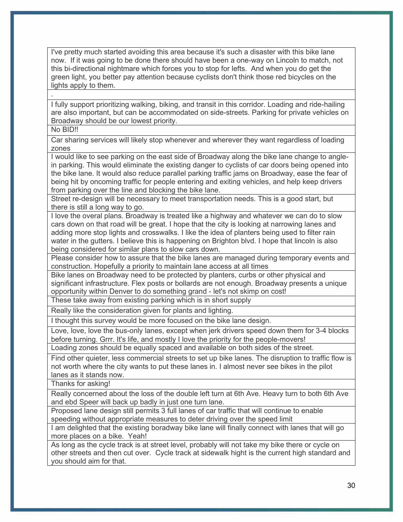I've pretty much started avoiding this area because it's such a disaster with this bike lane now. If it was going to be done there should have been a one-way on Lincoln to match, not this bi-directional nightmare which forces you to stop for lefts. And when you do get the green light, you better pay attention because cyclists don't think those red bicycles on the lights apply to them.

I fully support prioritizing walking, biking, and transit in this corridor. Loading and ride-hailing are also important, but can be accommodated on side-streets. Parking for private vehicles on Broadway should be our lowest priority.

No BID!!

.

Car sharing services will likely stop whenever and wherever they want regardless of loading zones

I would like to see parking on the east side of Broadway along the bike lane change to anglein parking. This would eliminate the existing danger to cyclists of car doors being opened into the bike lane. It would also reduce parallel parking traffic jams on Broadway, ease the fear of being hit by oncoming traffic for people entering and exiting vehicles, and help keep drivers from parking over the line and blocking the bike lane.

Street re-design will be necessary to meet transportation needs. This is a good start, but there is still a long way to go.

I love the overal plans. Broadway is treated like a highway and whatever we can do to slow cars down on that road will be great. I hope that the city is looking at narrowing lanes and adding more stop lights and crosswalks. I like the idea of planters being used to filter rain water in the gutters. I believe this is happening on Brighton blvd. I hope that lincoln is also being considered for similar plans to slow cars down.

Please consider how to assure that the bike lanes are managed during temporary events and construction. Hopefully a priority to maintain lane access at all times

Bike lanes on Broadway need to be protected by planters, curbs or other physical and significant infrastructure. Flex posts or bollards are not enough. Broadway presents a unique opportunity within Denver to do something grand - let's not skimp on cost!

These take away from existing parking which is in short supply

Really like the consideration given for plants and lighting.

I thought this survey would be more focused on the bike lane design.

Love, love, love the bus-only lanes, except when jerk drivers speed down them for 3-4 blocks before turning. Grrr. It's life, and mostly I love the priority for the people-movers!

Loading zones should be equally spaced and available on both sides of the street.

Find other quieter, less commercial streets to set up bike lanes. The disruption to traffic flow is not worth where the city wants to put these lanes in. I almost never see bikes in the pilot lanes as it stands now.

Thanks for asking!

Really concerned about the loss of the double left turn at 6th Ave. Heavy turn to both 6th Ave and ebd Speer will back up badly in just one turn lane.

Proposed lane design still permits 3 full lanes of car traffic that will continue to enable speeding without appropriate measures to deter driving over the speed limit

I am delighted that the existing boradway bike lane will finally connect with lanes that will go more places on a bike. Yeah!

As long as the cycle track is at street level, probably will not take my bike there or cycle on other streets and then cut over. Cycle track at sidewalk hight is the current high standard and you should aim for that.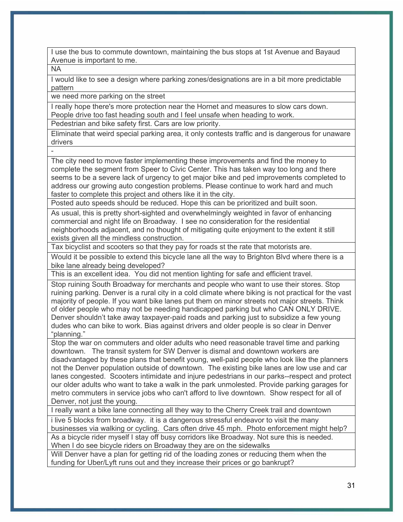I use the bus to commute downtown, maintaining the bus stops at 1st Avenue and Bayaud Avenue is important to me.

NA

I would like to see a design where parking zones/designations are in a bit more predictable pattern

we need more parking on the street

I really hope there's more protection near the Hornet and measures to slow cars down. People drive too fast heading south and I feel unsafe when heading to work.

Pedestrian and bike safety first. Cars are low priority.

Eliminate that weird special parking area, it only contests traffic and is dangerous for unaware drivers

-

The city need to move faster implementing these improvements and find the money to complete the segment from Speer to Civic Center. This has taken way too long and there seems to be a severe lack of urgency to get major bike and ped improvements completed to address our growing auto congestion problems. Please continue to work hard and much faster to complete this project and others like it in the city.

Posted auto speeds should be reduced. Hope this can be prioritized and built soon.

As usual, this is pretty short-sighted and overwhelmingly weighted in favor of enhancing commercial and night life on Broadway. I see no consideration for the residential neighborhoods adjacent, and no thought of mitigating quite enjoyment to the extent it still exists given all the mindless construction.

Tax bicyclist and scooters so that they pay for roads st the rate that motorists are.

Would it be possible to extend this bicycle lane all the way to Brighton Blvd where there is a bike lane already being developed?

This is an excellent idea. You did not mention lighting for safe and efficient travel.

Stop ruining South Broadway for merchants and people who want to use their stores. Stop ruining parking. Denver is a rural city in a cold climate where biking is not practical for the vast majority of people. If you want bike lanes put them on minor streets not major streets. Think of older people who may not be needing handicapped parking but who CAN ONLY DRIVE. Denver shouldn't take away taxpayer-paid roads and parking just to subsidize a few young dudes who can bike to work. Bias against drivers and older people is so clear in Denver "planning."

Stop the war on commuters and older adults who need reasonable travel time and parking downtown. The transit system for SW Denver is dismal and downtown workers are disadvantaged by these plans that benefit young, well-paid people who look like the planners not the Denver population outside of downtown. The existing bike lanes are low use and car lanes congested. Scooters intimidate and injure pedestrians in our parks--respect and protect our older adults who want to take a walk in the park unmolested. Provide parking garages for metro commuters in service jobs who can't afford to live downtown. Show respect for all of Denver, not just the young.

I really want a bike lane connecting all they way to the Cherry Creek trail and downtown

i live 5 blocks from broadway. it is a dangerous stressful endeavor to visit the many businesses via walking or cycling. Cars often drive 45 mph. Photo enforcement might help? As a bicycle rider myself I stay off busy corridors like Broadway. Not sure this is needed. When I do see bicycle riders on Broadway they are on the sidewalks

Will Denver have a plan for getting rid of the loading zones or reducing them when the funding for Uber/Lyft runs out and they increase their prices or go bankrupt?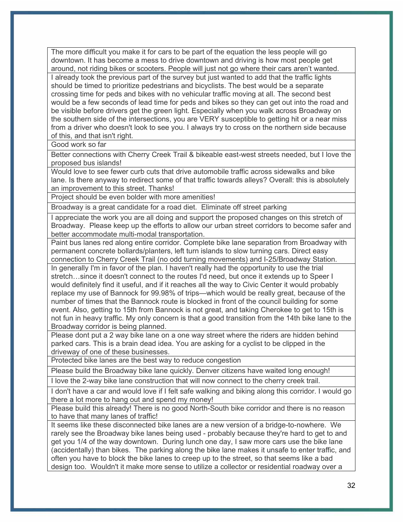The more difficult you make it for cars to be part of the equation the less people will go downtown. It has become a mess to drive downtown and driving is how most people get around, not riding bikes or scooters. People will just not go where their cars aren't wanted.

I already took the previous part of the survey but just wanted to add that the traffic lights should be timed to prioritize pedestrians and bicyclists. The best would be a separate crossing time for peds and bikes with no vehicular traffic moving at all. The second best would be a few seconds of lead time for peds and bikes so they can get out into the road and be visible before drivers get the green light. Especially when you walk across Broadway on the southern side of the intersections, you are VERY susceptible to getting hit or a near miss from a driver who doesn't look to see you. I always try to cross on the northern side because of this, and that isn't right.

Good work so far

Better connections with Cherry Creek Trail & bikeable east-west streets needed, but I love the proposed bus islands!

Would love to see fewer curb cuts that drive automobile traffic across sidewalks and bike lane. Is there anyway to redirect some of that traffic towards alleys? Overall: this is absolutely an improvement to this street. Thanks!

Project should be even bolder with more amenities!

Broadway is a great candidate for a road diet. Eliminate off street parking

I appreciate the work you are all doing and support the proposed changes on this stretch of Broadway. Please keep up the efforts to allow our urban street corridors to become safer and better accommodate multi-modal transportation.

Paint bus lanes red along entire corridor. Complete bike lane separation from Broadway with permanent concrete bollards/planters, left turn islands to slow turning cars. Direct easy connection to Cherry Creek Trail (no odd turning movements) and I-25/Broadway Station.

In generally I'm in favor of the plan. I haven't really had the opportunity to use the trial stretch…since it doesn't connect to the routes I'd need, but once it extends up to Speer I would definitely find it useful, and if it reaches all the way to Civic Center it would probably replace my use of Bannock for 99.98% of trips—which would be really great, because of the number of times that the Bannock route is blocked in front of the council building for some event. Also, getting to 15th from Bannock is not great, and taking Cherokee to get to 15th is not fun in heavy traffic. My only concern is that a good transition from the 14th bike lane to the Broadway corridor is being planned.

Please dont put a 2 way bike lane on a one way street where the riders are hidden behind parked cars. This is a brain dead idea. You are asking for a cyclist to be clipped in the driveway of one of these businesses.

Protected bike lanes are the best way to reduce congestion

Please build the Broadway bike lane quickly. Denver citizens have waited long enough!

I love the 2-way bike lane construction that will now connect to the cherry creek trail.

I don't have a car and would love if I felt safe walking and biking along this corridor. I would go there a lot more to hang out and spend my money!

Please build this already! There is no good North-South bike corridor and there is no reason to have that many lanes of traffic!

It seems like these disconnected bike lanes are a new version of a bridge-to-nowhere. We rarely see the Broadway bike lanes being used - probably because they're hard to get to and get you 1/4 of the way downtown. During lunch one day, I saw more cars use the bike lane (accidentally) than bikes. The parking along the bike lane makes it unsafe to enter traffic, and often you have to block the bike lanes to creep up to the street, so that seems like a bad design too. Wouldn't it make more sense to utilize a collector or residential roadway over a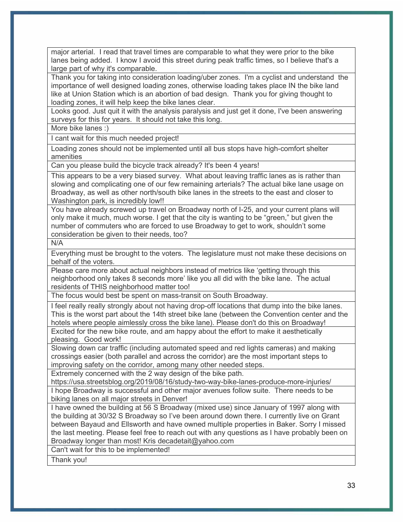major arterial. I read that travel times are comparable to what they were prior to the bike lanes being added. I know I avoid this street during peak traffic times, so I believe that's a large part of why it's comparable.

Thank you for taking into consideration loading/uber zones. I'm a cyclist and understand the importance of well designed loading zones, otherwise loading takes place IN the bike land like at Union Station which is an abortion of bad design. Thank you for giving thought to loading zones, it will help keep the bike lanes clear.

Looks good. Just quit it with the analysis paralysis and just get it done, I've been answering surveys for this for years. It should not take this long.

More bike lanes :)

I cant wait for this much needed project!

Loading zones should not be implemented until all bus stops have high-comfort shelter amenities

Can you please build the bicycle track already? It's been 4 years!

This appears to be a very biased survey. What about leaving traffic lanes as is rather than slowing and complicating one of our few remaining arterials? The actual bike lane usage on Broadway, as well as other north/south bike lanes in the streets to the east and closer to Washington park, is incredibly low!!

You have already screwed up travel on Broadway north of I-25, and your current plans will only make it much, much worse. I get that the city is wanting to be "green," but given the number of commuters who are forced to use Broadway to get to work, shouldn't some consideration be given to their needs, too?

N/A

Everything must be brought to the voters. The legislature must not make these decisions on behalf of the voters.

Please care more about actual neighbors instead of metrics like 'getting through this neighborhood only takes 8 seconds more' like you all did with the bike lane. The actual residents of THIS neighborhood matter too!

The focus would best be spent on mass-transit on South Broadway.

I feel really really strongly about not having drop-off locations that dump into the bike lanes. This is the worst part about the 14th street bike lane (between the Convention center and the hotels where people aimlessly cross the bike lane). Please don't do this on Broadway! Excited for the new bike route, and am happy about the effort to make it aesthetically pleasing. Good work!

Slowing down car traffic (including automated speed and red lights cameras) and making crossings easier (both parallel and across the corridor) are the most important steps to improving safety on the corridor, among many other needed steps.

Extremely concerned with the 2 way design of the bike path.

https://usa.streetsblog.org/2019/08/16/study-two-way-bike-lanes-produce-more-injuries/ I hope Broadway is successful and other major avenues follow suite. There needs to be biking lanes on all major streets in Denver!

I have owned the building at 56 S Broadway (mixed use) since January of 1997 along with the building at 30/32 S Broadway so I've been around down there. I currently live on Grant between Bayaud and Ellsworth and have owned multiple properties in Baker. Sorry I missed the last meeting. Please feel free to reach out with any questions as I have probably been on Broadway longer than most! Kris decadetait@yahoo.com

Can't wait for this to be implemented!

Thank you!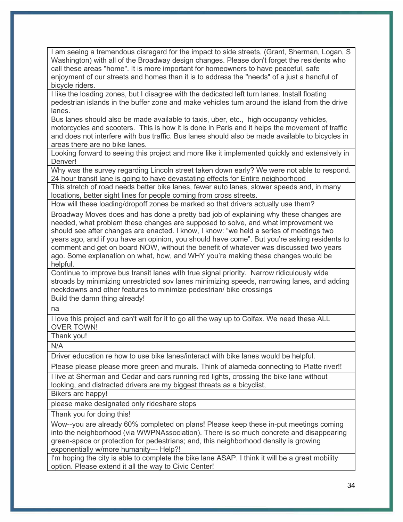I am seeing a tremendous disregard for the impact to side streets, (Grant, Sherman, Logan, S Washington) with all of the Broadway design changes. Please don't forget the residents who call these areas "home". It is more important for homeowners to have peaceful, safe enjoyment of our streets and homes than it is to address the "needs" of a just a handful of bicycle riders.

I like the loading zones, but I disagree with the dedicated left turn lanes. Install floating pedestrian islands in the buffer zone and make vehicles turn around the island from the drive lanes.

Bus lanes should also be made available to taxis, uber, etc., high occupancy vehicles, motorcycles and scooters. This is how it is done in Paris and it helps the movement of traffic and does not interfere with bus traffic. Bus lanes should also be made available to bicycles in areas there are no bike lanes.

Looking forward to seeing this project and more like it implemented quickly and extensively in Denver!

Why was the survey regarding Lincoln street taken down early? We were not able to respond. 24 hour transit lane is going to have devastating effects for Entire neighborhood

This stretch of road needs better bike lanes, fewer auto lanes, slower speeds and, in many locations, better sight lines for people coming from cross streets.

How will these loading/dropoff zones be marked so that drivers actually use them?

Broadway Moves does and has done a pretty bad job of explaining why these changes are needed, what problem these changes are supposed to solve, and what improvement we should see after changes are enacted. I know, I know: "we held a series of meetings two years ago, and if you have an opinion, you should have come". But you're asking residents to comment and get on board NOW, without the benefit of whatever was discussed two years ago. Some explanation on what, how, and WHY you're making these changes would be helpful.

Continue to improve bus transit lanes with true signal priority. Narrow ridiculously wide stroads by minimizing unrestricted sov lanes minimizing speeds, narrowing lanes, and adding neckdowns and other features to minimize pedestrian/ bike crossings

Build the damn thing already!

na

I love this project and can't wait for it to go all the way up to Colfax. We need these ALL OVER TOWN!

Thank you!

N/A

Driver education re how to use bike lanes/interact with bike lanes would be helpful.

Please please please more green and murals. Think of alameda connecting to Platte river!!

I live at Sherman and Cedar and cars running red lights, crossing the bike lane without looking, and distracted drivers are my biggest threats as a bicyclist,

Bikers are happy!

please make designated only rideshare stops

Thank you for doing this!

Wow--you are already 60% completed on plans! Please keep these in-put meetings coming into the neighborhood (via WWPNAssociation). There is so much concrete and disappearing green-space or protection for pedestrians; and, this neighborhood density is growing exponentially w/more humanity--- Help?!

I'm hoping the city is able to complete the bike lane ASAP. I think it will be a great mobility option. Please extend it all the way to Civic Center!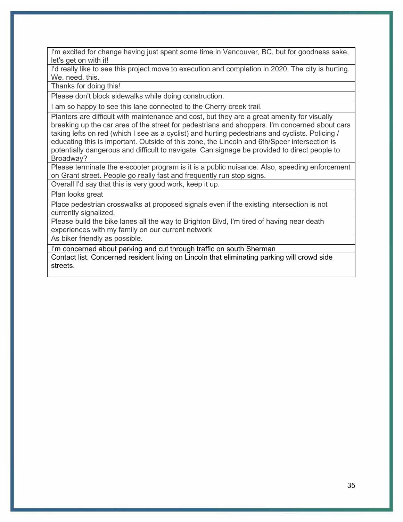I'm excited for change having just spent some time in Vancouver, BC, but for goodness sake, let's get on with it!

I'd really like to see this project move to execution and completion in 2020. The city is hurting. We. need. this.

Thanks for doing this!

Please don't block sidewalks while doing construction.

I am so happy to see this lane connected to the Cherry creek trail.

Planters are difficult with maintenance and cost, but they are a great amenity for visually breaking up the car area of the street for pedestrians and shoppers. I'm concerned about cars taking lefts on red (which I see as a cyclist) and hurting pedestrians and cyclists. Policing / educating this is important. Outside of this zone, the Lincoln and 6th/Speer intersection is potentially dangerous and difficult to navigate. Can signage be provided to direct people to Broadway?

Please terminate the e-scooter program is it is a public nuisance. Also, speeding enforcement on Grant street. People go really fast and frequently run stop signs.

Overall I'd say that this is very good work, keep it up.

Plan looks great

Place pedestrian crosswalks at proposed signals even if the existing intersection is not currently signalized.

Please build the bike lanes all the way to Brighton Blvd, I'm tired of having near death experiences with my family on our current network

As biker friendly as possible.

I'm concerned about parking and cut through traffic on south Sherman

Contact list. Concerned resident living on Lincoln that eliminating parking will crowd side streets.